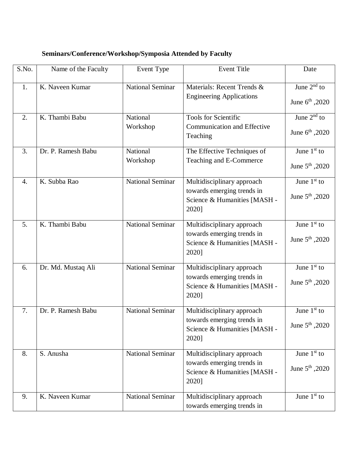| S.No.            | Name of the Faculty | Event Type              | <b>Event Title</b>                                                                                | Date                                         |
|------------------|---------------------|-------------------------|---------------------------------------------------------------------------------------------------|----------------------------------------------|
| 1.               | K. Naveen Kumar     | <b>National Seminar</b> | Materials: Recent Trends &<br><b>Engineering Applications</b>                                     | June $2nd$ to<br>June $6^{th}$ , 2020        |
| 2.               | K. Thambi Babu      | National<br>Workshop    | Tools for Scientific<br><b>Communication and Effective</b><br>Teaching                            | June $2nd$ to<br>June $6^{th}$ , 2020        |
| 3.               | Dr. P. Ramesh Babu  | National<br>Workshop    | The Effective Techniques of<br>Teaching and E-Commerce                                            | June $1st$ to<br>June $5^{\text{th}}$ , 2020 |
| $\overline{4}$ . | K. Subba Rao        | National Seminar        | Multidisciplinary approach<br>towards emerging trends in<br>Science & Humanities [MASH -<br>2020] | June $1st$ to<br>June $5^{\text{th}}$ , 2020 |
| 5.               | K. Thambi Babu      | <b>National Seminar</b> | Multidisciplinary approach<br>towards emerging trends in<br>Science & Humanities [MASH -<br>2020] | June $1st$ to<br>June $5^{\text{th}}$ , 2020 |
| 6.               | Dr. Md. Mustaq Ali  | <b>National Seminar</b> | Multidisciplinary approach<br>towards emerging trends in<br>Science & Humanities [MASH -<br>2020] | June $1st$ to<br>June $5^{\text{th}}$ , 2020 |
| 7.               | Dr. P. Ramesh Babu  | <b>National Seminar</b> | Multidisciplinary approach<br>towards emerging trends in<br>Science & Humanities [MASH -<br>2020] | June $1st$ to<br>June 5 <sup>th</sup> , 2020 |
| 8.               | S. Anusha           | <b>National Seminar</b> | Multidisciplinary approach<br>towards emerging trends in<br>Science & Humanities [MASH -<br>2020] | June $1st$ to<br>June $5^{\text{th}}$ , 2020 |
| 9.               | K. Naveen Kumar     | <b>National Seminar</b> | Multidisciplinary approach<br>towards emerging trends in                                          | June $1st$ to                                |

## **Seminars/Conference/Workshop/Symposia Attended by Faculty**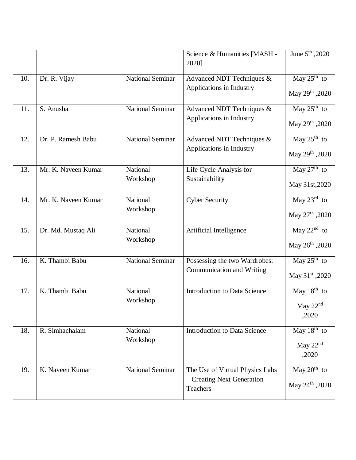|     |                     |                         | Science & Humanities [MASH -<br>2020]                                     | June 5 <sup>th</sup> , 2020                            |
|-----|---------------------|-------------------------|---------------------------------------------------------------------------|--------------------------------------------------------|
| 10. | Dr. R. Vijay        | <b>National Seminar</b> | Advanced NDT Techniques &<br>Applications in Industry                     | May $25^{\text{th}}$ to<br>May 29th , 2020             |
| 11. | S. Anusha           | <b>National Seminar</b> | Advanced NDT Techniques &<br>Applications in Industry                     | May $25^{\text{th}}$ to<br>May 29th , 2020             |
| 12. | Dr. P. Ramesh Babu  | <b>National Seminar</b> | Advanced NDT Techniques &<br>Applications in Industry                     | May $25^{\text{th}}$ to<br>May 29th , 2020             |
| 13. | Mr. K. Naveen Kumar | National<br>Workshop    | Life Cycle Analysis for<br>Sustainability                                 | May $27th$ to<br>May 31st, 2020                        |
| 14. | Mr. K. Naveen Kumar | National<br>Workshop    | <b>Cyber Security</b>                                                     | May $23^{\text{rd}}$ to<br>May 27 <sup>th</sup> , 2020 |
| 15. | Dr. Md. Mustaq Ali  | National<br>Workshop    | Artificial Intelligence                                                   | May $22nd$ to<br>May 26 <sup>th</sup> , 2020           |
| 16. | K. Thambi Babu      | <b>National Seminar</b> | Possessing the two Wardrobes:<br>Communication and Writing                | May $25^{\text{th}}$ to<br>May 31st ,2020              |
| 17. | K. Thambi Babu      | National<br>Workshop    | <b>Introduction to Data Science</b>                                       | May $18th$ to<br>May $22nd$<br>,2020                   |
| 18. | R. Simhachalam      | National<br>Workshop    | <b>Introduction to Data Science</b>                                       | May $18^{\text{th}}$ to<br>May $22nd$<br>,2020         |
| 19. | K. Naveen Kumar     | National Seminar        | The Use of Virtual Physics Labs<br>- Creating Next Generation<br>Teachers | May $20^{th}$ to<br>May $24^{\text{th}}$ , 2020        |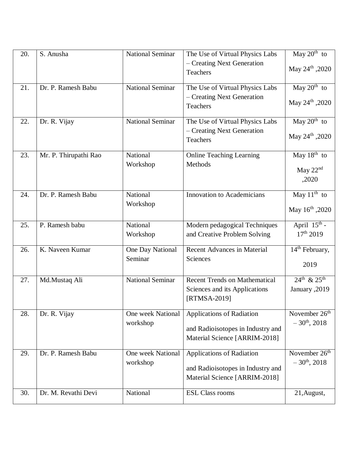| 20. | S. Anusha             | <b>National Seminar</b>       | The Use of Virtual Physics Labs<br>- Creating Next Generation<br>Teachers                              | May $20th$ to<br>May $24^{\text{th}}$ , 2020      |
|-----|-----------------------|-------------------------------|--------------------------------------------------------------------------------------------------------|---------------------------------------------------|
| 21. | Dr. P. Ramesh Babu    | <b>National Seminar</b>       | The Use of Virtual Physics Labs<br>- Creating Next Generation<br>Teachers                              | May $20th$ to<br>May $24^{\text{th}}$ , 2020      |
| 22. | Dr. R. Vijay          | <b>National Seminar</b>       | The Use of Virtual Physics Labs<br>- Creating Next Generation<br>Teachers                              | May $20^{th}$ to<br>May 24th , 2020               |
| 23. | Mr. P. Thirupathi Rao | National<br>Workshop          | <b>Online Teaching Learning</b><br>Methods                                                             | May $18th$ to<br>May $22nd$<br>,2020              |
| 24. | Dr. P. Ramesh Babu    | National<br>Workshop          | <b>Innovation to Academicians</b>                                                                      | May $11^{th}$ to<br>May 16th , 2020               |
| 25. | P. Ramesh babu        | National<br>Workshop          | Modern pedagogical Techniques<br>and Creative Problem Solving                                          | April $15^{\text{th}}$ -<br>17 <sup>th</sup> 2019 |
| 26. | K. Naveen Kumar       | One Day National<br>Seminar   | <b>Recent Advances in Material</b><br>Sciences                                                         | 14 <sup>th</sup> February,<br>2019                |
| 27. | Md.Mustaq Ali         | <b>National Seminar</b>       | <b>Recent Trends on Mathematical</b><br>Sciences and its Applications<br>[RTMSA-2019]                  | $24^{th}$ & $25^{th}$<br>January, 2019            |
| 28. | Dr. R. Vijay          | One week National<br>workshop | <b>Applications of Radiation</b><br>and Radioisotopes in Industry and<br>Material Science [ARRIM-2018] | November $26th$<br>$-30^{th}$ , 2018              |
| 29. | Dr. P. Ramesh Babu    | One week National<br>workshop | <b>Applications of Radiation</b><br>and Radioisotopes in Industry and<br>Material Science [ARRIM-2018] | November $26th$<br>$-30^{th}$ , 2018              |
| 30. | Dr. M. Revathi Devi   | National                      | <b>ESL Class rooms</b>                                                                                 | 21, August,                                       |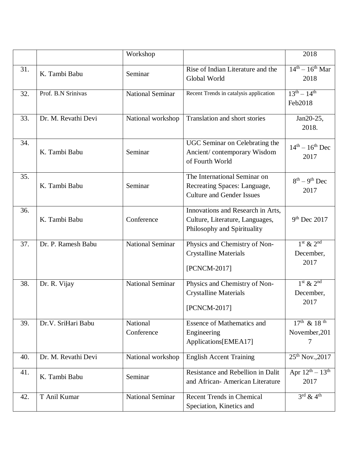|     |                     | Workshop                |                                                                                                     | 2018                                          |
|-----|---------------------|-------------------------|-----------------------------------------------------------------------------------------------------|-----------------------------------------------|
| 31. | K. Tambi Babu       | Seminar                 | Rise of Indian Literature and the<br>Global World                                                   | $14th - 16th$ Mar<br>2018                     |
| 32. | Prof. B.N Srinivas  | <b>National Seminar</b> | Recent Trends in catalysis application                                                              | $13^{th} - 14^{th}$<br>Feb2018                |
| 33. | Dr. M. Revathi Devi | National workshop       | Translation and short stories                                                                       | Jan20-25,<br>2018.                            |
| 34. | K. Tambi Babu       | Seminar                 | UGC Seminar on Celebrating the<br>Ancient/contemporary Wisdom<br>of Fourth World                    | $14^{th} - 16^{th}$ Dec<br>2017               |
| 35. | K. Tambi Babu       | Seminar                 | The International Seminar on<br>Recreating Spaces: Language,<br><b>Culture and Gender Issues</b>    | $8^{th} - 9^{th}$ Dec<br>2017                 |
| 36. | K. Tambi Babu       | Conference              | Innovations and Research in Arts,<br>Culture, Literature, Languages,<br>Philosophy and Spirituality | $9th$ Dec 2017                                |
| 37. | Dr. P. Ramesh Babu  | <b>National Seminar</b> | Physics and Chemistry of Non-<br><b>Crystalline Materials</b><br>[PCNCM-2017]                       | $1st$ & $2nd$<br>December,<br>2017            |
| 38. | Dr. R. Vijay        | <b>National Seminar</b> | Physics and Chemistry of Non-<br><b>Crystalline Materials</b><br>[PCNCM-2017]                       | $1st$ & $2nd$<br>December,<br>2017            |
| 39. | Dr.V. SriHari Babu  | National<br>Conference  | <b>Essence of Mathematics and</b><br>Engineering<br>Applications[EMEA17]                            | $17^{th}$ & 18 <sup>th</sup><br>November, 201 |
| 40. | Dr. M. Revathi Devi | National workshop       | <b>English Accent Training</b>                                                                      | $25^{th}$ Nov., 2017                          |
| 41. | K. Tambi Babu       | Seminar                 | Resistance and Rebellion in Dalit<br>and African-American Literature                                | Apr $12^{th} - 13^{th}$<br>2017               |
| 42. | T Anil Kumar        | <b>National Seminar</b> | <b>Recent Trends in Chemical</b><br>Speciation, Kinetics and                                        | $3^{\text{rd}}$ & 4 <sup>th</sup>             |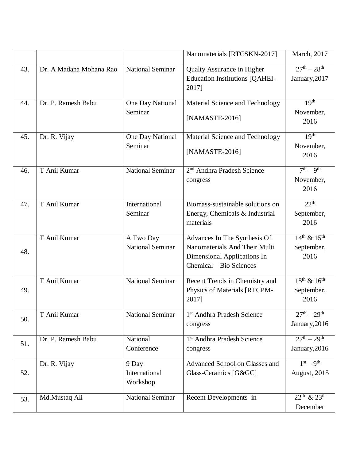|     |                         |                                      | Nanomaterials [RTCSKN-2017]                                                | March, 2017                          |
|-----|-------------------------|--------------------------------------|----------------------------------------------------------------------------|--------------------------------------|
| 43. | Dr. A Madana Mohana Rao | <b>National Seminar</b>              | <b>Qualty Assurance in Higher</b><br><b>Education Institutions [QAHEI-</b> | $27^{th} - 28^{th}$<br>January, 2017 |
|     |                         |                                      | 2017]                                                                      |                                      |
| 44. | Dr. P. Ramesh Babu      | One Day National<br>Seminar          | Material Science and Technology                                            | 19 <sup>th</sup><br>November,        |
|     |                         |                                      | [NAMASTE-2016]                                                             | 2016                                 |
| 45. | Dr. R. Vijay            | One Day National                     | Material Science and Technology                                            | 19 <sup>th</sup>                     |
|     |                         | Seminar                              | [NAMASTE-2016]                                                             | November,<br>2016                    |
| 46. | T Anil Kumar            | <b>National Seminar</b>              | 2 <sup>nd</sup> Andhra Pradesh Science                                     | $7th - 9th$                          |
|     |                         |                                      | congress                                                                   | November,<br>2016                    |
| 47. | T Anil Kumar            | International<br>Seminar             | Biomass-sustainable solutions on                                           | $22^{th}$                            |
|     |                         |                                      | Energy, Chemicals & Industrial<br>materials                                | September,<br>2016                   |
|     | T Anil Kumar            | A Two Day<br><b>National Seminar</b> | Advances In The Synthesis Of<br>Nanomaterials And Their Multi              | $14^{th}$ & $15^{th}$                |
| 48. |                         |                                      | Dimensional Applications In<br>Chemical – Bio Sciences                     | September,<br>2016                   |
|     | T Anil Kumar            | <b>National Seminar</b>              | Recent Trends in Chemistry and                                             | $15^{th}$ & $16^{th}$                |
| 49. |                         |                                      | Physics of Materials [RTCPM-<br>2017]                                      | September,<br>2016                   |
| 50. | T Anil Kumar            | <b>National Seminar</b>              | 1 <sup>st</sup> Andhra Pradesh Science<br>congress                         | $27^{th} - 29^{th}$<br>January, 2016 |
|     | Dr. P. Ramesh Babu      | National                             | 1 <sup>st</sup> Andhra Pradesh Science                                     | $27^{th} - 29^{th}$                  |
| 51. |                         | Conference                           | congress                                                                   | January, 2016                        |
|     | Dr. R. Vijay            | 9 Day                                | Advanced School on Glasses and                                             | $1st = 9th$                          |
| 52. |                         | International<br>Workshop            | Glass-Ceramics [G&GC]                                                      | August, 2015                         |
| 53. | Md.Mustaq Ali           | <b>National Seminar</b>              | Recent Developments in                                                     | $22^{th}$ & $23^{th}$                |
|     |                         |                                      |                                                                            | December                             |